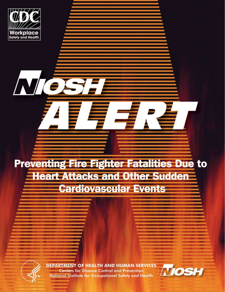

NIC

# **Preventing Fire Fighter Fatalities Due to Heart Attacks and Other Sudden Cardiovascular Events**

**DEPARTMENT OF HEALTH AND HUMAN SERVICES Centers for Disease Control and Prevention** National Institute for Occupational Safety and Health

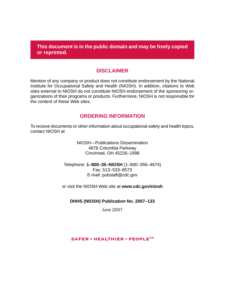**This document is in the public domain and may be freely copied or reprinted.** 

#### **DISCLAIMER**

Mention of any company or product does not constitute endorsement by the National Institute for Occupational Safety and Health (NIOSH). In addition, citations to Web sites external to NIOSH do not constitute NIOSH endorsement of the sponsoring organizations of their programs or products. Furthermore, NIOSH is not responsible for the content of these Web sites.

#### **ORDERING INFORMATION**

 To receive documents or other information about occupational safety and health topics, contact NIOSH at

> NIOSH—Publications Dissemination 4676 Columbia Parkway Cincinnati, OH 45226–1998

Telephone: **1–800–35–NIOSH** (1–800–356–4674) Fax: 513–533–8573 E-mail: pubstaft@cdc.gov

or visit the NIOSH Web site at **www.cdc.gov/niosh**

#### **DHHS (NIOSH) Publication No. 2007–133**

June 2007

#### SAFER • HEALTHIER • PEOPLE<sup>™</sup>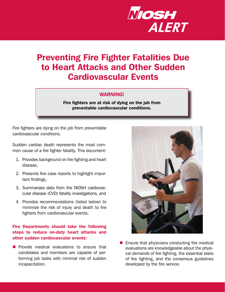

# Preventing Fire Fighter Fatalities Due to Heart Attacks and Other Sudden Cardiovascular Events

#### WARNING!

Fire fighters are at risk of dying on the job from preventable cardiovascular conditions.

Fire fighters are dying on the job from preventable cardiovascular conditions.

 Sudden cardiac death represents the most com-mon cause of a fire fighter fatality. This document:

- 1. Provides background on fire fighting and heart disease,
- 2. Presents five case reports to highlight important findings,
- 3. Summarizes data from the NIOSH cardiovas cular disease (CVD) fatality investigations, and
- 4. Provides recommendations (listed below) to minimize the risk of injury and death to fire fighters from cardiovascular events.

#### Fire Departments should take the following steps to reduce on-duty heart attacks and other sudden cardiovascular events:

**Provide medical evaluations to ensure that** candidates and members are capable of performing job tasks with minimal risk of sudden incapacitation.



 $\blacksquare$  Ensure that physicians conducting the medical evaluations are knowledgeable about the physical demands of fire fighting, the essential tasks of fire fighting, and the consensus guidelines developed by the fire service.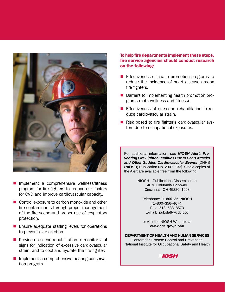

- $\blacksquare$  Implement a comprehensive wellness/fitness program for fire fighters to reduce risk factors for CVD and improve cardiovascular capacity.
- Control exposure to carbon monoxide and other fire contaminants through proper management of the fire scene and proper use of respiratory protection.
- **E** Ensure adequate staffing levels for operations to prevent over-exertion.
- $\blacksquare$  Provide on-scene rehabilitation to monitor vital signs for indication of excessive cardiovascular strain, and to cool and hydrate the fire fighter.
- Implement a comprehensive hearing conservation program.

 To help fire departments implement these steps, fire service agencies should conduct research on the following:

- **Effectiveness of health promotion programs to** reduce the incidence of heart disease among fire fighters.
- Barriers to implementing health promotion programs (both wellness and fitness).
- **Effectiveness of on-scene rehabilitation to re**duce cardiovascular strain.
- Risk posed to fire fighter's cardiovascular system due to occupational exposures.

For additional information, see *NIOSH Alert: Pre* venting Fire Fighter Fatalities Due to Heart Attacks and Other Sudden Cardiovascular Events [DHHS (NIOSH) Publication No. 2007–133]. Single copies of the Alert are available free from the following:

> NIOSH—Publications Dissemination 4676 Columbia Parkway Cincinnati, OH 45226–1998

Telephone: **1–800–35–NIOSH**  (1–800–356–4674) Fax: 513–533–8573 E-mail: pubstaft@cdc.gov

or visit the NIOSH Web site at **www.cdc.gov/niosh** 

**DEPARTMENT OF HEALTH AND HUMAN SERVICES**  Centers for Disease Control and Prevention National Institute for Occupational Safety and Health

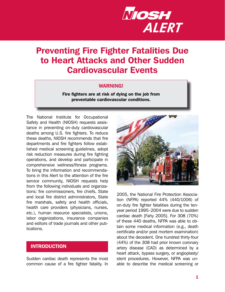

# Preventing Fire Fighter Fatalities Due to Heart Attacks and Other Sudden Cardiovascular Events

#### WARNING!

Fire fighters are at risk of dying on the job from preventable cardiovascular conditions.

The National Institute for Occupational Safety and Health (NIOSH) requests assistance in preventing on-duty cardiovascular deaths among U.S. fire fighters. To reduce these deaths, NIOSH recommends that fire departments and fire fighters follow established medical screening guidelines, adopt risk reduction measures during fire fighting operations, and develop and participate in comprehensive wellness/fitness programs. To bring the information and recommendations in this Alert to the attention of the fire service community, NIOSH requests help from the following individuals and organizations: fire commissioners, fire chiefs, State and local fire district administrators, State fire marshals, safety and health officials, health care providers (physicians, nurses, etc.), human resource specialists, unions, labor organizations, insurance companies and editors of trade journals and other publications.

#### INTRODUCTION

 Sudden cardiac death represents the most common cause of a fire fighter fatality. In



 2005, the National Fire Protection Associa- tion (NFPA) reported 44% (440/1006) of on-duty fire fighter fatalities during the ten- year period 1995–2004 were due to sudden cardiac death [Fahy 2005]. For 308 (70%) of these 440 deaths, NFPA was able to ob- tain some medical information (e.g., death certificate and/or post mortem examination) about the decedent. One hundred thirty-four (44%) of the 308 had prior known coronary artery disease (CAD) as determined by a heart attack, bypass surgery, or angioplasty/ stent procedures. However, NFPA was un-able to describe the medical screening or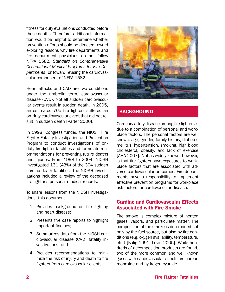fitness for duty evaluations conducted before these deaths. Therefore, additional informa- tion would be helpful to determine whether prevention efforts should be directed toward exploring reasons why fire departments and fire department physicians do not follow NFPA 1582, *Standard on Comprehensive Occupational Medical Programs for Fire De- partments*, or toward revising the cardiovas-cular component of NFPA 1582.

Heart attacks and CAD are two conditions under the umbrella term, cardiovascular disease (CVD). Not all sudden cardiovascular events result in sudden death. In 2005, an estimated 765 fire fighters suffered an on-duty cardiovascular event that did not result in sudden death [Karter 2006].

In 1998, Congress funded the NIOSH Fire Fighter Fatality Investigation and Prevention Program to conduct investigations of onduty fire fighter fatalities and formulate recommendations for preventing future deaths and injuries. From 1998 to 2004, NIOSH investigated 131 (43%) of the 304 sudden cardiac death fatalities. The NIOSH investigations included a review of the deceased fire fighter's personal medical records.

To share lessons from the NIOSH investigations, this document

- 1. Provides background on fire fighting and heart disease;
- 2. Presents five case reports to highlight important findings;
- 3. Summarizes data from the NIOSH cardiovascular disease (CVD) fatality investigations; and
- 4. Provides recommendations to minimize the risk of injury and death to fire fighters from cardiovascular events.



# **BACKGROUND**

Coronary artery disease among fire fighters is due to a combination of personal and workplace factors. The personal factors are well known: age, gender, family history, diabetes mellitus, hypertension, smoking, high blood cholesterol, obesity, and lack of exercise [AHA 2007]. Not as widely known, however, is that fire fighters have exposures to workplace factors that are associated with adverse cardiovascular outcomes. Fire departments have a responsibility to implement effective prevention programs for workplace risk factors for cardiovascular disease.

#### Cardiac and Cardiovascular Effects Associated with Fire Smoke

Fire smoke is complex mixture of heated gases, vapors, and particulate matter. The composition of the smoke is determined not only by the fuel source, but also by fire conditions (e.g. oxygen availability, temperature, etc.) [Kulig 1991; Levin 2005]. While hundreds of decomposition products are found, two of the more common and well known gases with cardiovascular effects are carbon monoxide and hydrogen cyanide.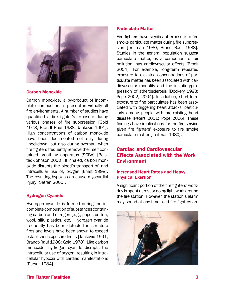

#### Carbon Monoxide

Carbon monoxide, a by-product of incomplete combustion, is present in virtually all fire environments. A number of studies have quantified a fire fighter's exposure during various phases of fire suppression [Gold 1978; Brandt-Rauf 1988; Jankovic 1991]. High concentrations of carbon monoxide have been documented not only during knockdown, but also during overhaul when fire fighters frequently remove their self contained breathing apparatus (SCBA) [Bolstad-Johnson 2000]. If inhaled, carbon monoxide disrupts the blood's transport of, and intracellular use of, oxygen [Ernst 1998]. The resulting hypoxia can cause myocardial injury [Satran 2005].

#### Hydrogen Cyanide

Hydrogen cyanide is formed during the incomplete combustion of substances containing carbon and nitrogen (e.g., paper, cotton, wool, silk, plastics, etc). Hydrogen cyanide frequently has been detected in structure fires and levels have been shown to exceed established exposure limits [Jankovic 1991; Brandt-Rauf 1988; Gold 1978]. Like carbon monoxide, hydrogen cyanide disrupts the intracellular use of oxygen, resulting in intracellular hypoxia with cardiac manifestations [Purser 1984].

#### Particulate Matter

 Fire fighters have significant exposure to fire smoke particulate matter during fire suppres- sion [Treitman 1980; Brandt-Rauf 1988]. Studies in the general population suggest particulate matter, as a component of air pollution, has cardiovascular effects [Brook 2004]. For example, long-term repeated exposure to elevated concentrations of par- ticulate matter has been associated with car- diovascular mortality and the initiation/pro- gression of atherosclerosis [Dockery 1993; Pope 2002, 2004]. In addition, short-term exposure to fine particulates has been asso- ciated with triggering heart attacks, particu- larly among people with pre-existing heart disease [Peters 2001; Pope 2006]. These findings have implications for the fire service given fire fighters' exposure to fire smoke particulate matter [Treitman 1980].

# Cardiac and Cardiovascular Effects Associated with the Work **Environment**

#### Increased Heart Rates and Heavy Physical Exertion

A significant portion of the fire fighters' workday is spent at rest or doing light work around the fire station. However, the station's alarm may sound at any time, and fire fighters are

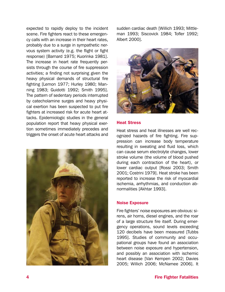expected to rapidly deploy to the incident scene. Fire fighters react to these emergency calls with an increase in their heart rates, probably due to a surge in sympathetic nervous system activity (e.g. the flight or fight response) [Barnard 1975; Kuorinka 1981]. The increase in heart rate frequently persists through the course of fire suppression activities; a finding not surprising given the heavy physical demands of structural fire fighting [Lemon 1977; Hurley 1980; Manning 1983; Guidotti 1992; Smith 1995]. The pattern of sedentary periods interrupted by catecholamine surges and heavy physical exertion has been suspected to put fire fighters at increased risk for acute heart attacks. Epidemiologic studies in the general population report that heavy physical exertion sometimes immediately precedes and triggers the onset of acute heart attacks and



sudden cardiac death [Willich 1993; Mittleman 1993; Siscovick 1984; Tofler 1992; Albert 2000].



#### Heat Stress

Heat stress and heat illnesses are well recognized hazards of fire fighting. Fire suppression can increase body temperature resulting in sweating and fluid loss, which can cause serum electrolyte changes, lower stroke volume (the volume of blood pushed during each contraction of the heart), or lower cardiac output [Rossi 2003; Smith 2001; Costrini 1979]. Heat stroke has been reported to increase the risk of myocardial ischemia, arrhythmias, and conduction abnormalities [Akhtar 1993].

#### Noise Exposure

Fire fighters' noise exposures are obvious: sirens, air horns, diesel engines, and the roar of a large structure fire itself. During emergency operations, sound levels exceeding 120 decibels have been measured [Tubbs 1995]. Studies of community and occupational groups have found an association between noise exposure and hypertension, and possibly an association with ischemic heart disease [Van Kempen 2002; Davies 2005; Willich 2006; McNamee 2006]. It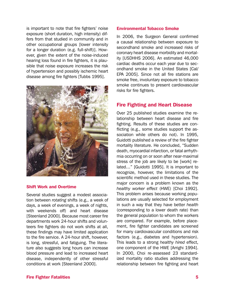is important to note that fire fighters' noise exposure (short duration, high intensity) differs from that studied in community and in other occupational groups [lower intensity for a longer duration (e.g. full-shift)]. However, given the extent of the noise-induced hearing loss found in fire fighters, it is plausible that noise exposure increases the risk of hypertension and possibly ischemic heart disease among fire fighters [Tubbs 1995].



#### Shift Work and Overtime

Several studies suggest a modest association between *rotating* shifts (e.g., a week of days, a week of evenings, a week of nights, with weekends off) and heart disease [Steenland 2000]. Because most career fire departments work 24-hour shifts and volunteers fire fighters do not work shifts at all, these findings may have limited application to the fire service. A 24-hour shift, however, is long, stressful, and fatiguing. The literature also suggests long hours can increase blood pressure and lead to increased heart disease, independently of other stressful conditions at work [Steenland 2000].

#### Environmental Tobacco Smoke

In 2006, the Surgeon General confirmed a causal relationship between exposure to secondhand smoke and increased risks of coronary heart disease morbidity and mortality [USDHHS 2006]. An estimated 46,000 cardiac deaths occur each year due to secondhand smoke in the United States [Cal/ EPA 2005]. Since not all fire stations are smoke free, involuntary exposure to tobacco smoke continues to present cardiovascular risks for fire fighters.

#### Fire Fighting and Heart Disease

Over 25 published studies examine the relationship between heart disease and fire fighting. Results of these studies are conflicting (e.g., some studies support the association while others do not). In 1995, Guidotti published a review of the fire fighter mortality literature. He concluded, "Sudden death, myocardial infarction, or fatal arrhythmia occurring on or soon after near-maximal stress of the job are likely to be [work] related…" [Guidotti 1995]. It is important to recognize, however, the limitations of the scientific method used in these studies. The major concern is a problem known as the *healthy worker effect* (HWE) [Choi 1992]. This problem arises because working populations are usually selected for employment in such a way that they have better *health*  (corresponding to a lower death rate) than the general population to whom the workers are compared. For example, before placement, fire fighter candidates are screened for many cardiovascular conditions and risk factors (e.g., diabetes and hypertension). This leads to a strong *healthy hired* effect, one component of the HWE [Arrighi 1994]. In 2000, Choi re-assessed 23 standardized mortality ratio studies addressing the relationship between fire fighting and heart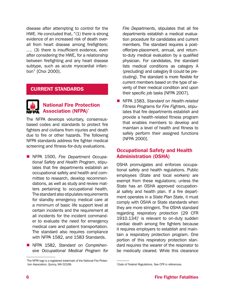disease after attempting to control for the HWE. He concluded that,  $\degree$ (1) there is strong evidence of an increased risk of death overall from heart disease among firefighters; …. (3) there is insufficient evidence, even after considering the HWE, for a relationship between firefighting and any heart disease subtype, such as acute myocardial infarction" [Choi 2000].

#### CURRENT STANDARDS



# National Fire Protection ® Association (NFPA)\*

The NFPA develops voluntary, consensusbased codes and standards to protect fire fighters and civilians from injuries and death due to fire or other hazards. The following NFPA standards address fire fighter medical screening and fitness-for-duty evaluations.

- NFPA 1500, *Fire Department Occupa- tional Safety and Health Program*, stipu- lates that fire departments establish an occupational safety and health and committee to research, develop recommen dations, as well as study and review mat- ters pertaining to occupational health. The standard also stipulates requirements for standby emergency medical care at a minimum of basic life support level at certain incidents and the requirement at all incidents for the incident command- er to evaluate the need for emergency medical care and patient transportation. The standard also requires compliance with NFPA 1582, and 1583 Standards.
- NFPA 1582, *Standard on Comprehen- sive Occupational Medical Program for*

 *Fire Departments*, stipulates that all fire departments establish a medical evalua- tion procedure for candidates and current members. The standard requires a post- offer/pre-placement, annual, and return- to-duty medical evaluation by a qualified physician. For candidates, the standard lists medical conditions as category A (precluding) and category B (could be pre- cluding). The standard is more flexible for current members based on the type of se- verity of their medical condition and upon their specific job tasks [NFPA 2007].

 NFPA 1583, *Standard on Health-related Fitness Programs for Fire Fighters*, stipulates that fire departments establish and provide a health-related fitness program that enables members to develop and maintain a level of health and fitness to safely perform their assigned functions [NFPA 2000].

# Occupational Safety and Health Administration (OSHA)

OSHA promulgates and enforces occupa tional safety and health regulations. Public employees (State and local workers) are exempt from these regulations; unless the State has an OSHA approved occupation al safety and health plan. If a fire depart- ment operates in a *State Plan State*, it must comply with OSHA or State standards when they are more stringent. The OSHA standard regarding respiratory protection [29 CFR  $1910.134$ ]<sup>†</sup> is relevant to on-duty sudden cardiac death among fire fighters because it requires employers to establish and main tain a respiratory protection program. One portion of this respiratory protection stan- dard requires the wearer of the respirator to be medically cleared. While this clearance

 \* The NFPA logo is a registered trademark of the National Fire Protec-tion Association, Quincy, MA 02169.

 *† Code of Federal Regulations*. See CFR in references.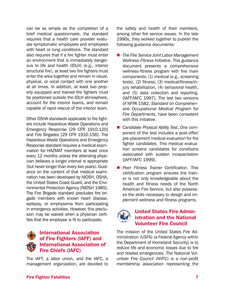can be as simple as the completion of a brief medical questionnaire, the standard requires that a health care provider evalu ate symptomatic employees and employees with heart or lung conditions. The standard also requires that if a fire fighter must enter an environment that is immediately danger ous to life and health (IDLH) (e.g., interior structural fire), at least two fire fighters must enter the area together and remain in visual, physical, or vocal contact with one another at all times. In addition, at least two prop- erly equipped and trained fire fighters must be positioned outside the IDLH atmosphere, account for the interior teams, and remain capable of rapid rescue of the interior team.

 Other OSHA standards applicable to fire fight- ers include Hazardous Waste Operations and Emergency Response [29 CFR 1910.120] and Fire Brigades [29 CFR 1910.156]. The Hazardous Waste Operations and Emergency Response standard requires a medical exam- ination for HAZMAT members at least once every 12 months unless the attending physi cian believes a longer interval is appropriate (but never longer than every two years). Guidance on the content of that medical exami nation has been developed by NIOSH, OSHA, the United States Coast Guard, and the Envi- ronmental Protection Agency [NIOSH 1985]. The Fire Brigade standard precludes fire bri- gade members with known heart disease, epilepsy, or emphysema from participating in emergency activities. However, this preclu sion may be waived when a physician certi fies that the employee is fit to participate.



# International Association of Fire Fighters (IAFF) and International Association of Fire Chiefs (IAFC)

The IAFF, a labor union, and the IAFC, a management organization, are devoted to the safety and health of their members, among other fire service issues. In the late 1990s, they worked together to publish the following guidance documents:

- *The Fire Service Joint Labor Management Wellness-Fitness Initiative*. This guidance document presents a comprehensive wellness-fitness program with five main components: (1) medical (e.g., screening tests), (2) fitness, (3) medical/fitness/injury rehabilitation, (4) behavioral health, and (5) data collection and reporting. [IAFF/IAFC 1997]. The last two versions of NFPA 1582, *Standard on Comprehensive Occupational Medical Program for Fire Departments*, have been consistent with this initiative.
- *Candidate Physical Ability Test*. One com ponent of the test includes a post-offer/ pre-placement medical evaluation for fire fighter candidates. This medical evaluation screens candidates for conditions associated with sudden incapacitation [IAFF/IAFC 1999].
- *Peer Fitness Trainer Certification*. This certification program ensures the trainer is not only knowledgeable about the health and fitness needs of the North American Fire Service, but also possesses the skills necessary to design and implement wellness and fitness programs.



# United States Fire Administration and the National Volunteer Fire Council

The mission of the United States Fire Administration (USFA) (a Federal Agency within the Department of Homeland Security) is to reduce life and economic losses due to fire and related emergencies. The National Volunteer Fire Council (NVFC) is a non-profit membership association representing the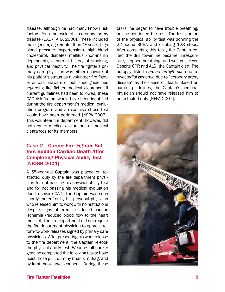disease, although he had many known risk factors for atherosclerotic coronary artery disease (CAD) [AHA 2006]. These included male gender, age greater than 45 years, high blood pressure (hypertension), high blood cholesterol, diabetes mellitus (non-insulin dependent), a current history of smoking, and physical inactivity. The fire fighter's primary care physician was either unaware of his patient's status as a volunteer fire fighter or was unaware of published guidelines regarding fire fighter medical clearance. If current guidelines had been followed, these CAD risk factors would have been identified during the fire department's medical evaluation program and an exercise stress test would have been performed [NFPA 2007]. This volunteer fire department, however, did not require medical evaluations or medical clearances for its members.

# **Case 2-Career Fire Fighter Suf**fers Sudden Cardiac Death After Completing Physical Ability Test [NIOSH 2001]

A 55-year-old Captain was placed on restricted duty by the fire department physician for not passing his physical ability test and for not passing his medical evaluation due to severe CAD. The Captain was seen shortly thereafter by his personal physician who released him to work with no restrictions despite signs of exercise-induced cardiac ischemia (reduced blood flow to the heart muscle). The fire department did not require the fire department physician to approve return-to-work releases signed by primary care physicians. After presenting his work release to the fire department, the Captain re-took the physical ability test. Wearing full bunker gear, he completed the following tasks: hose hoist, hose pull, dummy (manikin) drag, and hydrant hook-up/disconnect. During these

tasks, he began to have trouble breathing, but he continued the test. The last portion of the physical ability test was donning the 22-pound SCBA and climbing 128 steps. After completing this task, the Captain exited the drill tower; he became unresponsive, stopped breathing, and was pulseless. Despite CPR and ALS, the Captain died. The autopsy listed *cardiac arrhythmia* due to *myocardial ischemia* due to "coronary artery disease" as the cause of death. Based on current guidelines, the Captain's personal physician should not have released him to unrestricted duty [NFPA 2007].

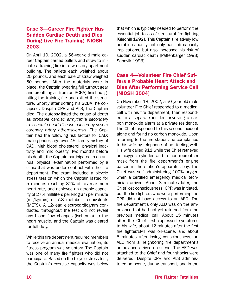# **Case 3-Career Fire Fighter Has** Sudden Cardiac Death and Dies During Live Fire Training [NIOSH 2003]

On April 10, 2002, a 56-year-old male career Captain carried pallets and straw to initiate a training fire in a two-story apartment building. The pallets each weighed about 25 pounds, and each bale of straw weighed 50 pounds. After the materials were in place, the Captain (wearing full turnout gear and breathing air from an SCBA) finished igniting the training fire and exited the structure. Shortly after doffing his SCBA, he collapsed. Despite CPR and ALS, the Captain died. The autopsy listed the cause of death as *probable cardiac arrhythmia secondary to ischemic heart disease caused by severe coronary artery atherosclerosis.* The Captain had the following risk factors for CAD: male gender, age over 45, family history of CAD, high blood cholesterol, physical inactivity and mild obesity. Two months before his death, the Captain participated in an annual physical examination performed by a clinic that was under contract with the fire department. The exam included a bicycle stress test on which the Captain lasted for 5 minutes reaching 81% of his maximum heart rate, and achieved an aerobic capacity of 27.4 milliliters per kilogram per minute (mL/kg/min) or 7.8 metabolic equivalents (METS). A 12-lead electrocardiogram conducted throughout the test did not reveal any blood flow changes (ischemia) to the heart muscle, and the Captain was cleared for full duty.

While this fire department required members to receive an annual medical evaluation, its fitness program was voluntary. The Captain was one of many fire fighters who did not participate. Based on the bicycle stress test, the Captain's exercise capacity was below that which is typically needed to perform the essential job tasks of structural fire fighting [Gledhill 1992]. This Captain's relatively low aerobic capacity not only had job capacity implications, but also increased his risk of sudden cardiac death [Paffenbarger 1993; Sandvik 1993].

# Case 4-Volunteer Fire Chief Suffers a Probable Heart Attack and Dies After Performing Service Call  $[NIOSH 2004]$

On November 18, 2002, a 50-year-old male volunteer Fire Chief responded to a medical call with his fire department, then responded to a separate incident involving a carbon monoxide alarm at a private residence. The Chief responded to this second incident alone and found no carbon monoxide. Upon returning to the fire station, he complained to his wife by telephone of not feeling well. His wife called 911 while the Chief retrieved an oxygen cylinder and a non-rebreather mask from the fire department's engine parked in the station's apparatus bay. The Chief was self administering 100% oxygen when a certified emergency medical technician arrived. About 8 minutes later, the Chief lost consciousness. CPR was initiated, but the fire fighters who were performing the CPR did not have access to an AED. The fire department's only AED was on the ambulance that had not yet returned from the previous medical call. About 15 minutes after the Chief first expressed symptoms to his wife, about 12 minutes after the first fire fighter/EMT was on-scene, and about 5 minutes after losing consciousness, an AED from a neighboring fire department's ambulance arrived on-scene. The AED was attached to the Chief and four shocks were delivered. Despite CPR and ALS administered on-scene, during transport, and in the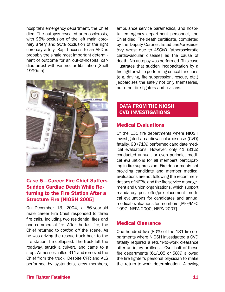hospital's emergency department, the Chief died. The autopsy revealed arteriosclerosis, with 95% occlusion of the left main coronary artery and 90% occlusion of the right coronary artery. Rapid access to an AED is probably the single most important determinant of outcome for an out-of-hospital cardiac arrest with ventricular fibrillation [Stiell 1999a,b].



# **Case 5-Career Fire Chief Suffers** Sudden Cardiac Death While Returning to the Fire Station After a **Structure Fire [NIOSH 2005]**

On December 13, 2004, a 56-year-old male career Fire Chief responded to three fire calls, including two residential fires and one commercial fire. After the last fire, the Chief returned to *cordon off* the scene. As he was driving the rescue truck back to the fire station, he collapsed. The truck left the roadway, struck a culvert, and came to a stop. Witnesses called 911 and removed the Chief from the truck. Despite CPR and ALS performed by bystanders, crew members,

ambulance service paramedics, and hospital emergency department personnel, the Chief died. The death certificate, completed by the Deputy Coroner, listed *cardiorespiratory arrest* due to *ASCVD* [atherosclerotic cardiovascular disease] as the cause of death. No autopsy was performed. This case illustrates that sudden incapacitation by a fire fighter while performing critical functions (e.g. driving, fire suppression, rescue, etc.) jeopardizes the safely not only themselves, but other fire fighters and civilians.

# DATA FROM THE NIOSH CVD INVESTIGATIONS

# Medical Evaluations

 Of the 131 fire departments where NIOSH investigated a cardiovascular disease (CVD) fatality, 93 (71%) performed candidate med- ical evaluations. However, only 41 (31%) conducted annual, or even periodic, medi- providing candidate and member medical evaluations are not following the recommen dations of NFPA, and the fire service manage ment and union organizations, which support cal evaluations for all members participating in fire suppression. Fire departments not mandatory post-offer/pre-placement medical evaluations for candidates and annual medical evaluations for members [IAFF/IAFC 1997, NFPA 2000, NFPA 2007].

# Medical Clearance

One-hundred-five (80%) of the 131 fire departments where NIOSH investigated a CVD fatality required a return-to-work clearance after an injury or illness. Over half of these fire departments (61/105 or 58%) allowed the fire fighter's personal physician to make the return-to-work determination. Allowing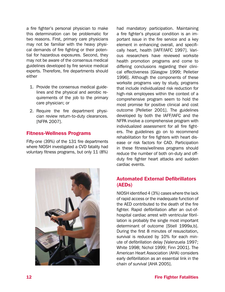a fire fighter's personal physician to make this determination can be problematic for two reasons. First, primary care physicians may not be familiar with the heavy physical demands of fire fighting or their potential for hazardous exposures. Second, they may not be aware of the consensus medical guidelines developed by fire service medical experts. Therefore, fire departments should either

- 1. Provide the consensus medical guidelines and the physical and aerobic requirements of the job to the primary care physician; or
- 2. Require the fire department physician review return-to-duty clearances. [NFPA 2007].

#### Fitness-Wellness Programs

 Fifty-one (39%) of the 131 fire departments where NIOSH investigated a CVD fatality had voluntary fitness programs, but only 11 (8%)



had mandatory participation. Maintaining a fire fighter's physical condition is an important issue in the fire service and a key element in enhancing overall, and specifically heart, health [IAFF/IAFC 1997]. Various researchers have reviewed worksite health promotion programs and come to differing conclusions regarding their clinical effectiveness [Glasgow 1999; Pelletier 1996]. Although the components of these worksite programs vary by study, programs that include individualized risk reduction for high-risk employees within the context of a comprehensive program seem to hold the most promise for positive clinical and cost outcome [Pelletier 2001]. The guidelines developed by both the IAFF/IAFC and the NFPA involve a comprehensive program with individualized assessment for all fire fighters. The guidelines go on to recommend rehabilitation for fire fighters with heart disease or risk factors for CAD. Participation in these fitness/wellness programs should reduce the number of both on-duty and offduty fire fighter heart attacks and sudden cardiac events.

# Automated External Defibrillators (AEDs)

NIOSH identified 4 (3%) cases where the lack of rapid access or the inadequate function of the AED contributed to the death of the fire fighter. Rapid defibrillation after an out-ofhospital cardiac arrest with ventricular fibrillation is probably the single most important determinant of outcome [Stiell 1999a,b]. During the first 8 minutes of resuscitation, survival is reduced by 10% for each minute of defibrillation delay [Valenzuela 1997; White 1998; Nichol 1999; Finn 2001]. The American Heart Association (AHA) considers early defibrillation as an essential link in the *chain of survival* [AHA 2005].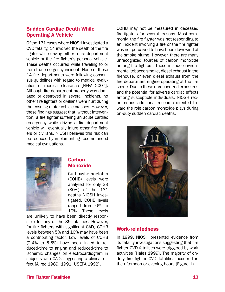#### Sudden Cardiac Death While Operating A Vehicle

 Of the 131 cases where NIOSH investigated a CVD fatality, 14 involved the death of the fire fighter while driving either a fire department vehicle or the fire fighter's personal vehicle. These deaths occurred while traveling to or from the emergency incident. None of these 14 fire departments were following consen sus guidelines with regard to medical evalu ation or medical clearance [NFPA 2007]. Although fire department property was dam- aged or destroyed in several incidents, no other fire fighters or civilians were hurt during the ensuing motor vehicle crashes. However, these findings suggest that, without interven tion, a fire fighter suffering an acute cardiac emergency while driving a fire department vehicle will eventually injure other fire fight- ers or civilians. NIOSH believes this risk can be reduced by implementing recommended medical evaluations.

COHB may not be measured in deceased fire fighters for several reasons. Most commonly, the fire fighter was not responding to an incident involving a fire or the fire fighter was not perceived to have been downwind of the smoke plume. However, there are many unrecognized sources of carbon monoxide among fire fighters. These include environmental tobacco smoke, diesel exhaust in the firehouse, or even diesel exhaust from the fire department engine operating at the fire scene. Due to these unrecognized exposures and the potential for adverse cardiac effects among susceptible individuals, NIOSH recommends additional research directed toward the role carbon monoxide plays during on-duty sudden cardiac deaths.



#### **Carbon** Monoxide

 (COHB) levels were analyzed for only 39 (30%) of the 131 deaths NIOSH inves- tigated. COHB levels ranged from 0% to 10%. These levels Carboxyhemoglobin

 are unlikely to have been directly respon- sible for any of the 39 fatalities. However, for fire fighters with significant CAD, COHB levels between 5% and 10% may have been a contributing factor. Low levels of COHB  $(2.4\%$  to  $5.6\%)$  have been linked to re duced-time to angina and reduced-time to ischemic changes on electrocardiogram in subjects with CAD, suggesting a clinical ef fect [Allred 1989, 1991; USEPA 1992].

# Work-relatedness

In 1999, NIOSH presented evidence from its fatality investigations suggesting that fire fighter CVD fatalities were triggered by work activities [Hales 1999]. The majority of onduty fire fighter CVD fatalities occurred in the afternoon or evening hours (Figure 1).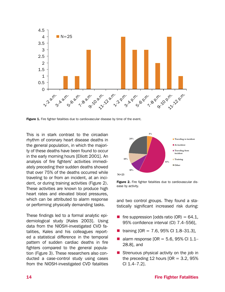

**Figure 1.** Fire fighter fatalities due to cardiovascular disease by time of the event.

This is in stark contrast to the circadian rhythm of coronary heart disease deaths in the general population, in which the majority of these deaths have been found to occur in the early morning hours [Elliott 2001]. An analysis of fire fighters' activities immediately preceding their sudden deaths showed that over 75% of the deaths occurred while traveling to or from an incident, at an incident, or during training activities (Figure 2). These activities are known to produce high heart rates and elevated blood pressures, which can be attributed to alarm response or performing physically demanding tasks.

These findings led to a formal analytic epidemiological study [Kales 2003]. Using data from the NIOSH-investigated CVD fatalities, Kales and his colleagues reported a statistical difference in the temporal pattern of sudden cardiac deaths in fire fighters compared to the general population (Figure 3). These researchers also conducted a case-control study using cases from the NIOSH-investigated CVD fatalities



Figure 2. Fire fighter fatalities due to cardiovascular disease by activity.

and two control groups. They found a statistically significant increased risk during:

- **fire suppression [odds ratio (OR) = 64.1,** 95% confidence interval (CI) 7.4–556],
- training  $[OR = 7.6, 95\% \text{ CI } 1.8-31.3],$
- alarm response  $[OR = 5.6, 95\% \text{ Cl } 1.1-$ 28.8], and
- $\blacksquare$  Strenuous physical activity on the job in the preceding 12 hours  $[OR = 3.2, 95\%]$ CI 1.4–7.2].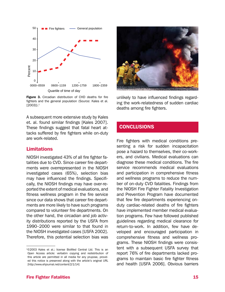

Quartile of time of day

Figure 3. Circadian distribution of CHD deaths for fire fighters and the general population (Source: Kales et al. [2003]).‡

A subsequent more extensive study by Kales et. al. found similar findings [Kales 2007]. These findings suggest that fatal heart attacks suffered by fire fighters while on-duty are work-related.

#### Limitations

NIOSH investigated 43% of all fire fighter fatalities due to CVD. Since career fire departments were overrepresented in the NIOSH investigated cases (65%), selection bias may have influenced the findings. Specifically, the NIOSH findings may have over-reported the extent of medical evaluations, and fitness wellness program in the fire service since our data shows that career fire departments are more likely to have such programs compared to volunteer fire departments. On the other hand, the circadian and job activity distributions reported by the USFA from 1990–2000 were similar to that found in the NIOSH investigated cases [USFA 2002]. Therefore, this potential selection bias was



unlikely to have influenced findings regarding the work-relatedness of sudden cardiac deaths among fire fighters.

#### **CONCLUSIONS**

Fire fighters with medical conditions presenting a risk for sudden incapacitation pose a hazard to themselves, their co-workers, and civilians. Medical evaluations can diagnose these medical conditions. The fire service recommends medical evaluations and participation in comprehensive fitness and wellness programs to reduce the number of on-duty CVD fatalities. Findings from the NIOSH Fire Fighter Fatality Investigation and Prevention Program have documented that few fire departments experiencing onduty cardiac-related deaths of fire fighters have implemented member medical evaluation programs. Few have followed published guidelines regarding medical clearance for return-to-work. In addition, few have developed and encouraged participation in comprehensive fitness and wellness programs. These NIOSH findings were consistent with a subsequent USFA survey that report 76% of fire departments lacked programs to maintain basic fire fighter fitness and health [USFA 2006]. Obvious barriers

<sup>‡</sup> ©2003 Kales et al.; license BioMed Central Ltd. This is an Open Access article: verbatim copying and redistribution of this article are permitted in all media for any prupose, provided this notice is preserved along with the article's original URL [http://www.ehjournal.net/content/2/1/14]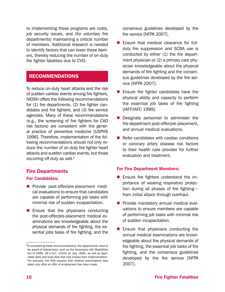to implementing these programs are costs, job security issues, and (for voluntary fire departments) maintaining a critical number of members. Additional research is needed to identify factors that can lower these barriers, thereby reducing the number of on-duty fire fighter fatalities due to CVD.

# RECOMMENDATIONS

 To reduce on-duty heart attacks and the risk of sudden cardiac events among fire fighters, NIOSH offers the following recommendations for (1) fire departments, (2) fire fighter can- didates and fire fighters, and (3) fire service agencies. Many of these recommendations (e.g., the screening of fire fighters for CAD risk factors) are consistent with the gener al practice of preventive medicine [USPHS 1996]. Therefore, implementation of the fol- lowing recommendations should not only re- duce the number of on-duty fire fighter heart attacks and sudden cardiac events, but those occurring off-duty as well.§

#### Fire Departments

#### For Candidates:

- **Provide post-offer/pre-placement medi**cal evaluations to ensure that candidates are capable of performing job tasks with minimal risk of sudden incapacitation.
- **E** Ensure that the physicians conducting the post-offer/pre-placement medical ex- aminations are knowledgeable about the physical demands of fire fighting, the es-sential jobs tasks of fire fighting, and the

 consensus guidelines developed by the fire service [NFPA 2007].

- Ensure that medical clearance for fullduty fire suppression and SCBA use is conducted by either (1) the fire department physician or (2) a primary care physician knowledgeable about the physical demands of fire fighting and the consensus guidelines developed by the fire service [NFPA 2007].
- **E** Ensure fire fighter candidates have the physical ability and capacity to perform the essential job tasks of fire fighting [IAFF/IAFC 1999].
- Designate personnel to administer the fire department post-offer/pre-placement, and annual medical evaluations.
- $\blacksquare$  Refer candidates with cardiac conditions or coronary artery disease risk factors to their health care provider for further evaluation and treatment.

#### For Fire Department Members:

- Ensure fire fighters understand the importance of wearing respiratory protection during all phases of fire fighting from initial attack through overhaul.
- **Provide mandatory annual medical eval**uations to ensure members are capable of performing job tasks with minimal risk of sudden incapacitation.
- **E** Ensure that physicians conducting the annual medical examinations are knowledgeable about the physical demands of fire fighting, the essential job tasks of fire fighting, and the consensus guidelines developed by the fire service [NFPA 2007].

<sup>§</sup> In considering these recommendations, fire departments need to be aware of federal laws, such as the Americans with Disabilities Act of 1990, 29 U.S.C. 12101 et. seq. (ADA), as well as applicable state and local laws that may impact their implementation. For example, the ADA requires that medical examinations take place only after an offer of employment has been made.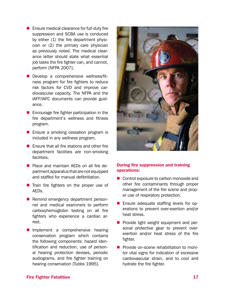- $\blacksquare$  Ensure medical clearance for full-duty fire suppression and SCBA use is conduced by either (1) the fire department physician or (2) the primary care physician as previously noted. The medical clearance letter should state what essential job tasks the fire fighter can, and cannot, perform [NFPA 2007].
- Develop a comprehensive wellness/fitness program for fire fighters to reduce risk factors for CVD and improve cardiovascular capacity. The NFPA and the IAFF/IAFC documents can provide guidance.
- $\blacksquare$  Encourage fire fighter participation in the fire department's wellness and fitness program.
- **E** Ensure a smoking cessation program is included in any wellness program.
- $\blacksquare$  Ensure that all fire stations and other fire department facilities are non-smoking facilities.
- **Place and maintain AEDs on all fire de**partment apparatus that are not equipped and staffed for manual defibrillation.
- $\blacksquare$  Train fire fighters on the proper use of AEDs.
- Remind emergency department person- nel and medical examiners to perform carboxyhemoglobin testing on all fire fighters who experience a cardiac ar rest.
- **Implement a comprehensive hearing** conservation program which contains the following components: hazard identification and reduction, use of personal hearing protection devises, periodic audiograms, and fire fighter training on hearing conservation [Tubbs 1995].



#### During fire suppression and training operations:

- Control exposure to carbon monoxide and other fire contaminants through proper management of the fire scene and prop-er use of respiratory protection.
- **E** Ensure adequate staffing levels for operations to prevent over-exertion and/or heat stress.
- Provide light weight equipment and personal protective gear to prevent over exertion and/or heat stress of the fire fighter.
- **Provide on-scene rehabilitation to moni**tor vital signs for indication of excessive cardiovascular strain, and to cool and hydrate the fire fighter.

#### Fire Fighter Fatalities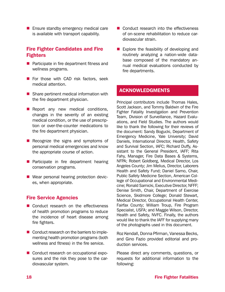**E** Ensure standby emergency medical care is available with transport capability.

# Fire Fighter Candidates and Fire Fighters

- **Participate in fire department fitness and** wellness programs.
- For those with CAD risk factors, seek medical attention.
- Share pertinent medical information with the fire department physician.
- Report any new medical conditions, changes in the severity of an existing medical condition, or the use of prescription or over-the-counter medications to the fire department physician.
- $\blacksquare$  Recognize the signs and symptoms of personal medical emergencies and know the appropriate course of action.
- **Participate in fire department hearing** conservation programs.
- Wear personal hearing protection devices, when appropriate.

#### Fire Service Agencies

- Conduct research on the effectiveness of health promotion programs to reduce the incidence of heart disease among fire fighters.
- Conduct research on the barriers to imple- menting health promotion programs (both wellness and fitness) in the fire service.
- Conduct research on occupational exposures and the risk they pose to the cardiovascular system.
- Conduct research into the effectiveness of on-scene rehabilitation to reduce cardiovascular strain.
- Explore the feasibility of developing and routinely analyzing a nation-wide database composed of the mandatory annual medical evaluations conducted by fire departments.

#### ACKNOWLEDGMENTS

 Principal contributors include Thomas Hales, Scott Jackson, and Tommy Baldwin of the Fire Fighter Fatality Investigation and Prevention Team, Division of Surveillance, Hazard Evalu- ations, and Field Studies. The authors would like to thank the following for their reviews of the document: Sandy Bogucki, Department of Emergency Medicine, Yale University; David Daniels, International Director, Health, Safety and Survival Section, IAFC; Richard Duffy, As- sistant to the General President, IAFF; Rita Fahy, Manager, Fire Data Bases & Systems, NFPA; Robert Goldberg, Medical Director, Los Angeles County; Jim Melius, Director, Laborers Health and Safety Fund; Daniel Samo, Chair, Public Safety Medicine Section, American Col- lege of Occupational and Environmental Medi- cine; Ronald Sarnicki, Executive Director, NFFF; Denise Smith, Chair, Department of Exercise Science, Skidmore College; Donald Stewart, Medical Director, Occupational Health Center, Fairfax County; William Troup, Fire Program Specialist, USFA; and Maggie Wilson, Director, Health and Safety, NVFC. Finally, the authors would like to thank the IAFF for supplying many of the photographs used in this document.

 Roz Kendall, Donna Pfirman, Vanessa Becks, and Gino Fazio provided editorial and production services.

Please direct any comments, questions, or requests for additional information to the following: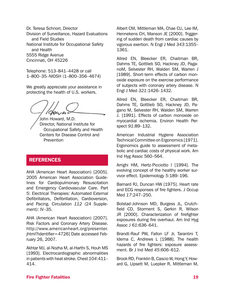Dr. Teresa Schnorr, Director Division of Surveillance, Hazard Evaluations and Field Studies National Institute for Occupational Safety and Health 5555 Ridge Avenue Cincinnati, OH 45226

Telephone: 513–841–4428 or call 1–800–35–NIOSH (1–800–356–4674)

We greatly appreciate your assistance in protecting the health of U.S. workers.

John Howard, M.D. Director, National Institute for Occupational Safety and Health Centers for Disease Control and **Prevention** 

# **REFERENCES**

AHA (American Heart Association) [2005]. 2005 American Heart Association Guidelines for Cardiopulmonary Resuscitation and Emergency Cardiovascular Care. Part 5: Electrical Therapies: Automated External Defibrillators, Defibrillation, Cardioversion, and Pacing. Circulation *112* (24 Supplement): IV–35.

AHA (American Heart Association) [2007]. Risk Factors and Coronary Artery Disease. http://www.americanheart.org/presenter. jhtml?identifier=4726] Date accessed February 26, 2007.

 Akhtar MJ, al-Nozha M, al-Harthi S, Houh MS [1993]. Electrocardiographic abnormalities in patients with heat stroke. Chest *104*:411– 414.

Albert CM, Mittleman MA, Chae CU, Lee IM, Hennekens CH, Manson JE [2000]. Triggering of sudden death from cardiac causes by vigorous exertion. N Engl J Med *343*:1355– 1361.

Allred EN, Bleecker ER, Chaitman BR, Dahms TE, Gottlieb SO, Hackney JD, PaganoM, Selvester RH, Walden SM, Warren J [1989]. Short-term effects of carbon monoxide exposure on the exercise performance of subjects with coronary artery disease. N Engl J Med *321*:1426–1432.

Allred EN, Bleecker ER, Chaitman BR, Dahms TE, Gottlieb SO, Hackney JD, Pagano M, Selvester RH, Walden SM, Warren J. [1991]. Effects of carbon monoxide on myocardial ischemia. Environ Health Perspect *91*:89–132.

 American Industrial Hygiene Association Technical Committee on Ergonomics [1971]. Ergonomics guide to assessment of meta- bolic and cardiac costs of physical work. Am Ind Hyg Assoc 560–564.

Arrighi HM, Hertz-Picciotto I [1994]. The evolving concept of the healthy worker survivor effect. Epidemiology *5*:189–196.

Barnard RJ, Duncan HW [1975]. Heart rate and ECG responses of fire fighters. J Occup Med *17*:247–250.

Bolstad-Johnson MD, Burgess JL, Crutchfield CD, Storment S, Gerkin R, Wilson JR [2000]. Characterization of firefighter exposures during fire overhaul. Am Ind Hyg Assoc J *61*:636–641.

Brandt-Rauf PW, Fallon LF Jr, Tarantini T, Idema C, Andrews L [1988]. The health hazards of fire fighters: exposure assessment. Br J Ind Med *45*:606–612.

Brook RD, Franklin B, Cascio W, Hong Y, Howard G, LIpsett M, Luepker R, Mittleman M,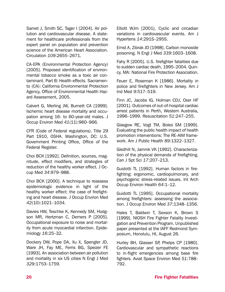Samet J, Smith SC, Tager I [2004]. Air pollution and cardiovascular disease. A statement for healthcare professionals from the expert panel on population and prevention science of the American Heart Association. Circulation *109*:2655–2671.

CA-EPA (Environmental Protection Agency) [2005]. Proposed identification of environmental tobacco smoke as a toxic air contaminant. Part B: Health effects. Sacramento (CA): California Environmental Protection Agency, Office of Environmental Health Hazard Assessment, 2005.

Calvert G, Merling JW, Burnett CA [1999]. Ischemic heart disease mortality and occupation among 16- to 60-year-old males. J Occup Environ Med *41*(11):960–966.

CFR (Code of Federal regulations). Title 29 Part 1910, OSHA. Washington, DC: U.S. Government Printing Office, Office of the Federal Register.

Choi BCK [1992]. Definition, sources, magnitude, effect modifiers, and strategies of reduction of the healthy worker effect. J Occup Med *34*:979–988.

Choi BCK [2000]. A technique to reassess epidemiologic evidence in light of the healthy worker effect: the case of firefighting and heart disease. J Occup Environ Med *42*(10):1021–1034.

Davies HW, Teschke K, Kennedy SM, Hodgson MR, Hertzman C, Demers P [2005]. Occupational exposure to noise and mortality from acute myocardial infarction. Epidemiology *16*:25–32.

Dockery DW, Pope DA, Xu X, Spengler JD, Ware JH, Fay ME, Ferris BG, Speizer FE [1993]. An association between air pollution and mortality in six US cities N Engl J Med *329*:1753–1759.

Elliott WJm [2001]. Cyclic and circadian variations in cardiovascular events. Am J Hypertens *14*:291S–295S.

Ernst A, Zibrak JD [1998]. Carbon monoxide poisoning. N Engl J Med *339*:1603–1608.

 Fahy R [2005]. U.S. firefighter fatalities due to sudden cardiac death, 1995–2004. Quin-cy, MA: National Fire Protection Association.

Feuer E, Roseman K [1986]. Mortality in police and firefighters in New Jersey. Am J Ind Med *9*:517–519.

Finn JC, Jacobs IG, Holman CDJ, Oxer HF [2001]. Outcomes of out-of-hospital cardiac arrest patients in Perth, Western Australia, 1996–1999. Resuscitation *51*:247–255.

Glasgow RE, Vogt TM, Boles SM [1999]. Evaluating the public health impact of health promotion interventions: The RE-AIM framework. Am J Public Health *89*:1322–1327.

Gledhill N, Jamnik VK [1992]. Characterization of the physical demands of firefighting. Can J Spt Sci *17*:207–213.

Guidotti TL [1992]. Human factors in firefighting: ergonomic, cardiopulmonary, and psychogenic stress-related issues. Int Arch Occup Environ Health *64*:1–12.

Guidotti TL [1995]. Occupational mortality among firefighters: assessing the association. J Occup Environ Med *37*:1348–1356.

Hales T, Baldwin T, Sexson K, Brown S [1999]. NIOSH Fire Fighter Fatality Investigation and Prevention Program. Unpublished paper presented at the IAFF Redmond Symposium, Honolulu, HI, August 26.

Hurley BH, Glasser SP, Phelps CP [1980]. Cardiovascular and sympathetic reactions to in-flight emergencies among base fire fighters. Aviat Space Environ Med *51*:788– 792.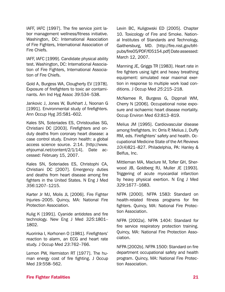IAFF, IAFC [1997]. The fire service joint labor management wellness/fitness initiative. Washington, DC: International Association of Fire Fighters, International Association of Fire Chiefs.

IAFF, IAFC [1999]. Candidate physical ability test. Washington, DC: International Association of Fire Fighters, International Association of Fire Chiefs.

Gold A, Burgess WA, Clougherty EV [1978]. Exposure of firefighters to toxic air contaminants. Am Ind Hyg Assoc *39*:534–538.

Jankovic J, Jones W, Burkhart J, Noonan G [1991]. Environmental study of firefighters. Ann Occup Hyg *35*:581–602.

Kales SN, Soteriades ES, Christoudias SG, Christiani DC [2003]. Firefighters and onduty deaths from coronary heart disease: a case control study. Environ health: a global access science source. 2:14. [http://www. ehjournal.net/content/2/1/14]. Date accessed: February 15, 2007.

Kales SN, Soteriades ES, Christophi CA, Christiani DC [2007]. Emergency duties and deaths from heart disease among fire fighters in the United States. N Eng J Med *356*:1207–1215.

Karter Jr MJ, Molis JL [2006]. Fire Fighter Injuries–2005. Quincy, MA: National Fire Protection Association.

Kulig K [1991]. Cyanide antidotes and fire technology. New Eng J Med *325*:1801– 1802.

Kuorinka I, Korhonen O [1981]. Firefighters' reaction to alarm, an ECG and heart rate study. J Occup Med *23*:762–766.

Lemon PW, Hermiston RT [1977]. The human energy cost of fire fighting. J Occup Med *19*:558–562.

 Gaithersburg, MD. [http://fire.nist.gov/bfrlpubs/fire05/PDF/f05154.pdf]Dateassessed: Levin BC, Kuligowski ED [2005]. Chapter 10. Toxicology of Fire and Smoke. National Institutes of Standards and Technology, March 12, 2007.

Manning JE, Griggs TR [1983]. Heart rate in fire fighters using light and heavy breathing equipment: simulated near maximal exertion in response to multiple work load conditions. J Occup Med *25*:215–218.

McNamee R, Burgess G, Dippnall WM, Cherry N [2006]. Occupational noise exposure and ischaemic heart disease mortality. Occup Environ Med *63*:813–819.

Melius JM [1995]. Cardiovascular disease among firefighters. In: Orris P, Melius J, Duffy RM, eds. Firefighters' safety and health. Occupational Medicine State of the Art Reviews *10*(4)821–827. Philadelphia, PA: Hanley & Belfus, Inc.

Mittleman MA, Maclure M, Tofler GH, Sherwood JB, Goldberg RJ, Muller JE [1993]. Triggering of acute myocardial infarction by heavy physical exertion. N Eng J Med *329*:1677–1683.

NFPA [2000]. NFPA 1583: Standard on health-related fitness programs for fire fighters. Quincy, MA: National Fire Protection Association.

NFPA [2002a]. NFPA 1404: Standard for fire service respiratory protection training. Quincy, MA: National Fire Protection Association.

NFPA [2002b]. NFPA 1500: Standard on fire department occupational safety and health program. Quincy, MA: National Fire Protection Association.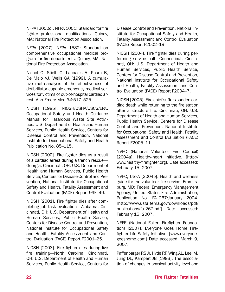NFPA [2002c]. NFPA 1001: Standard for fire fighter professional qualifications. Quincy, MA: National Fire Protection Association.

NFPA [2007]. NFPA 1582: Standard on comprehensive occupational medical program for fire departments. Quincy, MA: National Fire Protection Association.

 defibrillator-capable emergency medical ser- vices for victims of out-of-hospital cardiac ar- rest. Ann Emerg Med *34*:517–525. Nichol G, Stiell IG, Laupacis A, Pham B, De Maio VJ, Wells GA [1999]. A cumulative meta-analysis of the effectiveness of

NIOSH [1985]. NIOSH/OSHA/USCG/EPA. Occupational Safety and Health Guidance Manual for Hazardous Waste Site Activities. U.S. Department of Health and Human Services, Public Health Service, Centers for Disease Control and Prevention, National Institute for Occupational Safety and Health Publication No. 85–115.

NIOSH [2000]. Fire fighter dies as a result of a cardiac arrest during a trench rescue— Georgia. Cincinnati, OH: U.S. Department of Health and Human Services, Public Health Service, Centers for Disease Control and Prevention, National Institute for Occupational Safety and Health, Fatality Assessment and Control Evaluation (FACE) Report 99F–49.

NIOSH [2001]. Fire fighter dies after completing job task evaluation—Alabama. Cincinnati, OH: U.S. Department of Health and Human Services, Public Health Service, Centers for Disease Control and Prevention, National Institute for Occupational Safety and Health, Fatality Assessment and Control Evaluation (FACE) Report F2001–25.

NIOSH [2003]. Fire fighter dies during live fire training—North Carolina. Cincinnati, OH: U.S. Department of Health and Human Services, Public Health Service, Centers for Disease Control and Prevention, National Institute for Occupational Safety and Health, Fatality Assessment and Control Evaluation (FACE) Report F2002–19.

NIOSH [2004]. Fire fighter dies during performing service call—Connecticut. Cincinnati, OH: U.S. Department of Health and Human Services, Public Health Service, Centers for Disease Control and Prevention, National Institute for Occupational Safety and Health, Fatality Assessment and Control Evaluation (FACE) Report F2004–7.

NIOSH [2005]. Fire chief suffers sudden cardiac death while returning to the fire station after a structure fire. Cincinnati, OH: U.S. Department of Health and Human Services, Public Health Service, Centers for Disease Control and Prevention, National Institute for Occupational Safety and Health, Fatality Assessment and Control Evaluation (FACE) Report F2005–11.

NVFC (National Volunteer Fire Council) [2004a]. Healthy-heart initiative. [http:// www.healthy-firefighter.org]. Date accessed: February 15, 2007.

NVFC, USFA [2004b]. Health and wellness guide for the volunteer fire service, Emmitsburg, MD: Federal Emergency Management Agency; United States Fire Administration, Publication No. FA–267/January 2004. [http://www.usfa.fema.gov/downloads/pdf/ publications/fa-267.pdf] Date accessed: February 15, 2007.

NFFF (National Fallen Firefighter Foundation) [2007]. Everyone Goes Home Firefighter Life Safety Initiative. [www.everyonegoeshome.com] Date accessed: March 9, 2007.

 Paffenbarger RS Jr, Hyde RT, Wing AL, Lee IM, Jung DL, Kampert JB [1993]. The associa-tion of changes in physical-activity level and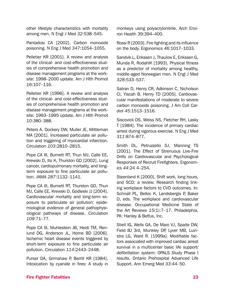other lifestyle characteristics with mortality among men. N Engl J Med *32*:538–545.

Pantadosi CA [2002]. Carbon monoxide poisoning. N Eng J Med *347*:1054–1055.

Pelletier KR [2001]. A review and analysis of the clinical- and cost-effectiveness studies of comprehensive health promotion and disease management programs at the worksite: 1998–2000 update. Am J Hlth Promot *16*:107–116.

Pelletier KR [1996]. A review and analysis of the clinical- and cost-effectiveness studies of comprehensive health promotion and disease management programs at the worksite: 1993–1995 update. Am J Hlth Promot *10*:380–388.

Peters A, Dockery DW, Muller JE, Mittleman MA [2001]. Increased particulate air pollution and triggering of myocardial infarction. Circulation *103*:2810–2815.

Pope CA III, Burnett RT, Thun MJ, Calle EE, Krewski D, Ito K, Thurston GD [2002]. Lung cancer, cardiopulmonary mortality, and longterm exposure to fine particulate air pollution. JAMA *287*:1132–1141.

Pope CA III, Burnett RT, Thurston GD, Thun MJ, Calle EE, Krewski D, Godleski JJ [2004]. Cardiovascular mortality and long-term exposure to particulate air pollution: epidemiological evidence of general pathophysiological pathways of disease. Circulation *109*:71–77.

Pope CA III, Muhlestein JB, Heidi TM, Renlund DG, Anderson JL, Horne BD [2006]. Ischemic heart disease events triggered by short-term exposure to fine particulate air pollution. Circulation *114*:2443–2448.

Purser DA, Grimshaw P, Berrill KR [1984]. Intoxication by cyanide in fires: A study in monkeys using polyacrylonitrile. Arch Environ Health 39:394–400.

 Rossi R [2003]. Fire fighting and its influence on the body. Ergonomics *46*:1017–1033.

Sandvik L, Erikssen J, Thaulow E, Erikssen G, Munda R, RodahlK [1993]. Physical fitness as a predictor of mortality among healthy, middle-aged Norwegian men. N Engl J Med *328*:533–537.

Satran D, Henry CR, Adkinson C, Nicholson CI, Yiscah B, Henry TD [2005]. Cardiovascular manifestations of moderate to severe carbon monoxide poisoning. J Am Coll Cardiol *45*:1513–1516.

Siscovick DS, Weiss NS, Fletcher RH, Lasky T [1984]. The incidence of primary cardiac arrest during vigorous exercise. N Eng J Med *311*:874–877.

Smith DL, Petruzzello SJ, Manning TS [2001]. The Effect of Strenuous Live-Fire Drills on Cardiovascular and Psychological Responses of Recruit Firefighters. Ergonomics *44*:24 4–254.

Steenland K [2000]. Shift work, long hours, and SCD: a review. Research finding linking workplace factors to CVD outcomes. In: Schnall PL, Belkic K, Landsbergis P, Baker D, eds. The workplace and cardiovascular disease. Occupational Medicine State of the Art Reviews *15*(1):7–17. Philadelphia, PA: Hanley & Belfus, Inc.

Stiell IG, Wells GA, De Maio VJ, Spaite DW, Field BJ 3rd, Munkley DP, Lyver MB, Luinstra LG, Ward R. [1999a]. Modifiable factors associated with improved cardiac arrest survival in a multicenter basic life support/ defibrillation system: OPALS Study Phase I results. Ontario Prehospital Advanced Life Support. Ann Emerg Med *33*:44–50.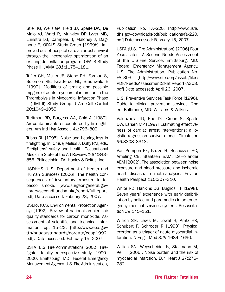Stiell IG, Wells GA, Field BJ, Spaite DW, De Maio VJ, Ward R, Munkley DP, Lyver MB, Luinstra LG, Campeau T, Maloney J, Dagnone E, OPALS Study Group [1999b]. Improved out-of-hospital cardiac arrest survival through the inexpensive optimization of an existing defibrillation program: OPALS Study Phase II. JAMA *281*:1175–1181.

Tofler GH, Muller JE, Stone PH, Forman S, Solomon RE, Knatterud GL, Braunwald E [1992]. Modifiers of timing and possible triggers of acute myocardial infarction in the Thrombolysis in Myocardial Infarction Phase II (TIMI II) Study Group. J Am Coll Cardiol *20*:1049–1055.

Treitman RD, Burgess WA, Gold A [1980]. Air contaminants encountered by fire fighters. Am Ind Hyg Assoc J *41*:796–802.

 Tubbs RL [1995]. Noise and hearing loss in firefighting. In: Orris P, Melius J, Duffy RM, eds. Firefighters' safety and health. Occupational Medicine State of the Art Reviews *10*(4)843– 856. Philadelphia, PA: Hanley & Belfus, Inc.

 USDHHS (U.S. Department of Health and Human Survices) [2006]. The health consequences of involuntary exposure to to bacco smoke. [www.surgeongeneral.gov/ pdf] Date accessed: Febuary 23, 2007. library/secondhandsmoke/report/fullreport.

 USEPA (U.S. Environmental Protection Agen- cy) [1992]. Review of national ambient air quality standards for carbon monoxide. Assessment of scientific and technical information, pp. 15–22. [http://www.epa.gov/ ttn/naaqs/standards/co/data/cosp1992. pdf]. Date accessed: February 15, 2007.

 USFA (U.S. Fire Administration) [2002]. Fire- fighter fatality retrospective study, 1990– 2000. Emittsburg, MD: Federal Emergency Management Agency, U.S. Fire Administration,

 Publication No. FA–220. [http://www.usfa. pdf] Date accessed: February 15, 2007. dhs.gov/downloads/pdf/publications/fa-220.

USFA (U.S. Fire Administration) [2006] Four Years Later—A Second Needs Assessment of the U.S.Fire Service. Emittsburg, MD: Federal Emergency Management Agency, U.S. Fire Administration, Publication No. FA–303. [http://www.nfpa.org/assets/files/ PDF/NeedsAssessment2NatlReportFA303. pdf] Date accessed: April 26, 2007.

U.S. Preventive Services Task Force [1996]. Guide to clinical prevention services, 2nd ed. Baltimore, MD: Williams & Wilkins.

Valenzuela TD, Roe DJ, Cretin S, Spaite DW, Larsen MP [1997] Estimating effectiveness of cardiac arrest interventions: a logistic regression survival model. Circulation *96*:3308–3313.

Van Kempen EE, Kruize H, Boshuizen HC, Ameling CB, Staatsen BAM, DeHollander AEM [2002]. The association between noise exposure and blood pressure and ischemic heart disease: a meta-analysis. Environ Health Perspect *110*:307–310.

White RD, Hankins DG, Bugliosi TF [1998]. Seven years' experience with early defibrillation by police and paramedics in an emergency medical services system. Resuscitation *39*:145–151.

Willich SN, Lewis M, Lowel H, Arntz HR, Schubert F, Schroder R [1993]. Physical exertion as a trigger of acute myocardial infarction. N Eng J Med *329*:1684–1690.

Willich SN, Wegscheider K, Stallmann M, Keil T [2006]. Noise burden and the risk of myocardial infarction. Eur Heart J *27*:276– 282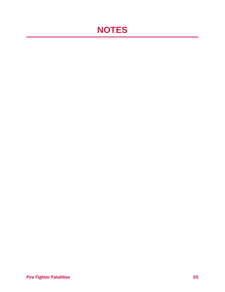# **NOTES**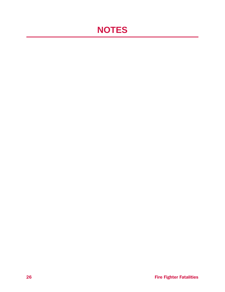# **NOTES**